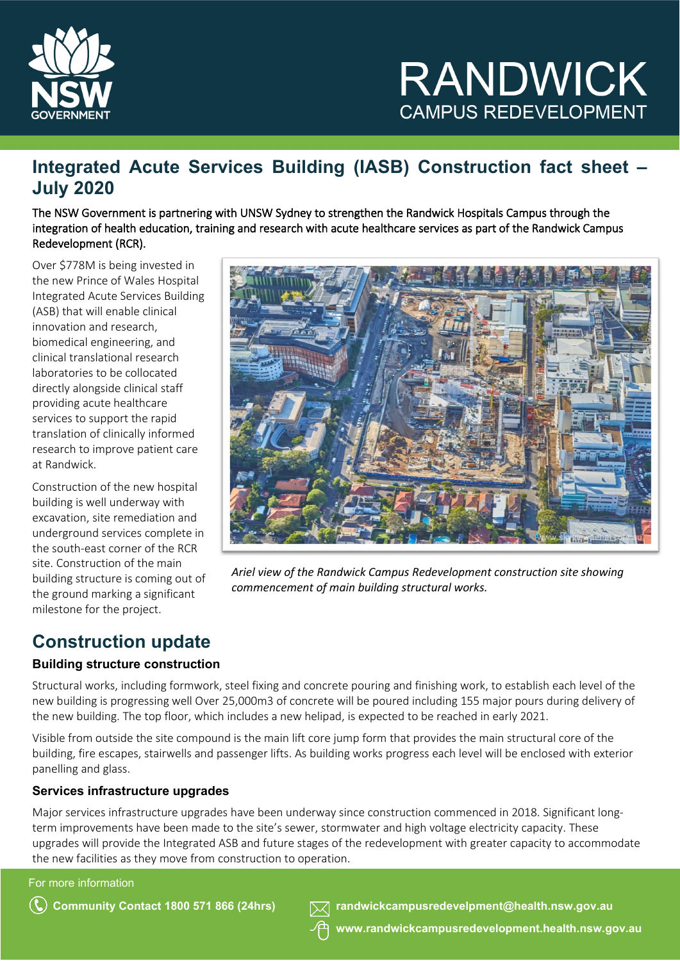

## **Integrated Acute Services Building (IASB) Construction fact sheet – July 2020**

The NSW Government is partnering with UNSW Sydney to strengthen the Randwick Hospitals Campus through the integration of health education, training and research with acute healthcare services as part of the Randwick Campus Redevelopment (RCR).

Over \$778M is being invested in the new Prince of Wales Hospital Integrated Acute Services Building (ASB) that will enable clinical innovation and research, biomedical engineering, and clinical translational research laboratories to be collocated directly alongside clinical staff providing acute healthcare services to support the rapid translation of clinically informed research to improve patient care at Randwick.

Construction of the new hospital building is well underway with excavation, site remediation and underground services complete in the south-east corner of the RCR site. Construction of the main building structure is coming out of the ground marking a significant milestone for the project.



*Ariel view of the Randwick Campus Redevelopment construction site showing commencement of main building structural works.* 

### **Construction update**

#### **Building structure construction**

Structural works, including formwork, steel fixing and concrete pouring and finishing work, to establish each level of the new building is progressing well Over 25,000m3 of concrete will be poured including 155 major pours during delivery of the new building. The top floor, which includes a new helipad, is expected to be reached in early 2021.

Visible from outside the site compound is the main lift core jump form that provides the main structural core of the building, fire escapes, stairwells and passenger lifts. As building works progress each level will be enclosed with exterior panelling and glass.

#### **Services infrastructure upgrades**

Major services infrastructure upgrades have been underway since construction commenced in 2018. Significant longterm improvements have been made to the site's sewer, stormwater and high voltage electricity capacity. These upgrades will provide the Integrated ASB and future stages of the redevelopment with greater capacity to accommodate the new facilities as they move from construction to operation.

For more information

**Community Contact 1800 571 866 (24hrs) [randwickcampusredevelpment@health.nsw.gov.au](mailto:randwickcampusredevelpment@health.nsw.gov.au)**

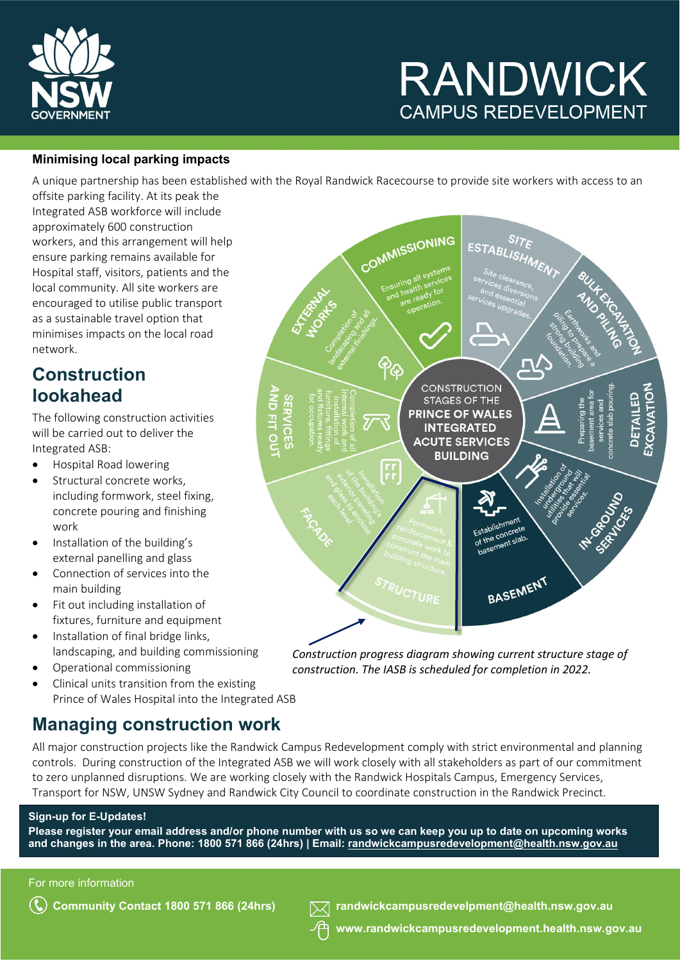

#### **Minimising local parking impacts**

A unique partnership has been established with the Royal Randwick Racecourse to provide site workers with access to an

offsite parking facility. At its peak the Integrated ASB workforce will include approximately 600 construction workers, and this arrangement will help ensure parking remains available for Hospital staff, visitors, patients and the local community. All site workers are encouraged to utilise public transport as a sustainable travel option that minimises impacts on the local road network.

### **Construction lookahead**

The following construction activities will be carried out to deliver the Integrated ASB:

- Hospital Road lowering
- Structural concrete works, including formwork, steel fixing, concrete pouring and finishing work
- Installation of the building's external panelling and glass
- Connection of services into the main building
- Fit out including installation of fixtures, furniture and equipment
- Installation of final bridge links, landscaping, and building commissioning
- Operational commissioning
- Clinical units transition from the existing Prince of Wales Hospital into the Integrated ASB

### **Managing construction work**

All major construction projects like the Randwick Campus Redevelopment comply with strict environmental and planning controls. During construction of the Integrated ASB we will work closely with all stakeholders as part of our commitment to zero unplanned disruptions. We are working closely with the Randwick Hospitals Campus, Emergency Services, Transport for NSW, UNSW Sydney and Randwick City Council to coordinate construction in the Randwick Precinct.

#### **Sign-up for E-Updates!**

**Please register your email address and/or phone number with us so we can keep you up to date on upcoming works and changes in the area. Phone: 1800 571 866 (24hrs) | Email: [randwickcampusredevelopment@health.nsw.gov.au](mailto:randwickcampusredevelopment@health.nsw.gov.au)**

For more information



*Construction progress diagram showing current structure stage of construction. The IASB is scheduled for completion in 2022.*

**Community Contact 1800 571 866 (24hrs) [randwickcampusredevelpment@health.nsw.gov.au](mailto:randwickcampusredevelpment@health.nsw.gov.au)**

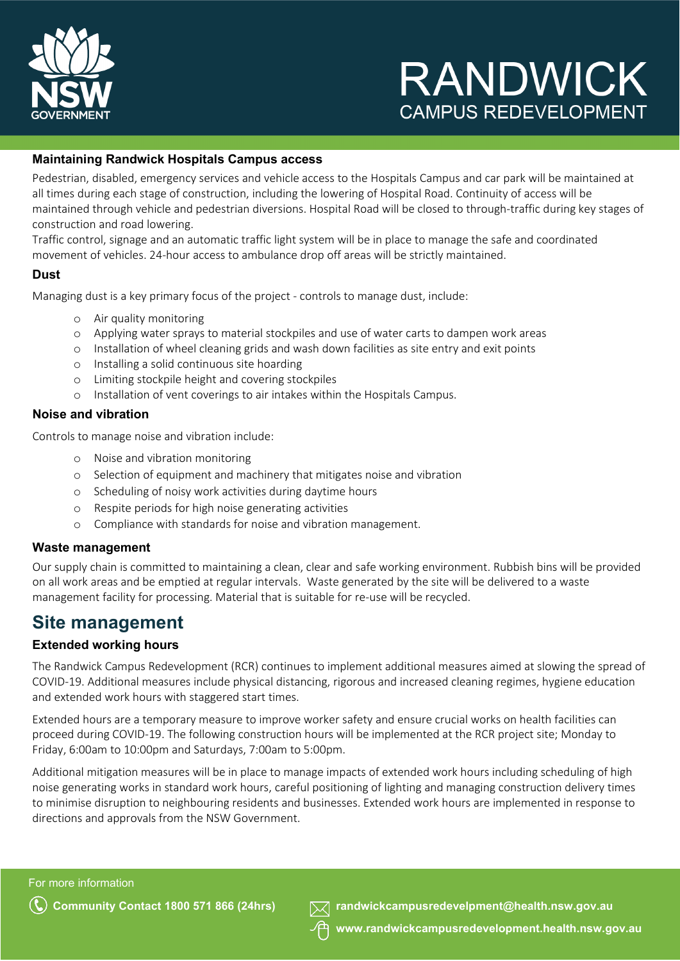

#### **Maintaining Randwick Hospitals Campus access**

Pedestrian, disabled, emergency services and vehicle access to the Hospitals Campus and car park will be maintained at all times during each stage of construction, including the lowering of Hospital Road. Continuity of access will be maintained through vehicle and pedestrian diversions. Hospital Road will be closed to through-traffic during key stages of construction and road lowering.

Traffic control, signage and an automatic traffic light system will be in place to manage the safe and coordinated movement of vehicles. 24-hour access to ambulance drop off areas will be strictly maintained.

#### **Dust**

Managing dust is a key primary focus of the project - controls to manage dust, include:

- o Air quality monitoring
- o Applying water sprays to material stockpiles and use of water carts to dampen work areas
- o Installation of wheel cleaning grids and wash down facilities as site entry and exit points
- o Installing a solid continuous site hoarding
- o Limiting stockpile height and covering stockpiles
- o Installation of vent coverings to air intakes within the Hospitals Campus.

#### **Noise and vibration**

Controls to manage noise and vibration include:

- o Noise and vibration monitoring
- o Selection of equipment and machinery that mitigates noise and vibration
- o Scheduling of noisy work activities during daytime hours
- o Respite periods for high noise generating activities
- o Compliance with standards for noise and vibration management.

#### **Waste management**

Our supply chain is committed to maintaining a clean, clear and safe working environment. Rubbish bins will be provided on all work areas and be emptied at regular intervals. Waste generated by the site will be delivered to a waste management facility for processing. Material that is suitable for re-use will be recycled.

### **Site management**

#### **Extended working hours**

The Randwick Campus Redevelopment (RCR) continues to implement additional measures aimed at slowing the spread of COVID-19. Additional measures include physical distancing, rigorous and increased cleaning regimes, hygiene education and extended work hours with staggered start times.

Extended hours are a temporary measure to improve worker safety and ensure crucial works on health facilities can proceed during COVID-19. The following construction hours will be implemented at the RCR project site; Monday to Friday, 6:00am to 10:00pm and Saturdays, 7:00am to 5:00pm.

Additional mitigation measures will be in place to manage impacts of extended work hours including scheduling of high noise generating works in standard work hours, careful positioning of lighting and managing construction delivery times to minimise disruption to neighbouring residents and businesses. Extended work hours are implemented in response to directions and approvals from the NSW Government.

For more information



**Community Contact 1800 571 866 (24hrs) [randwickcampusredevelpment@health.nsw.gov.au](mailto:randwickcampusredevelpment@health.nsw.gov.au)**